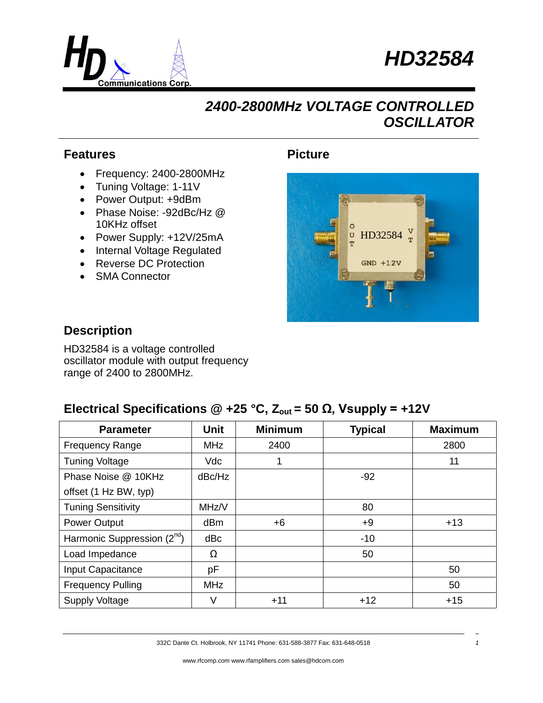



# *2400-2800MHz VOLTAGE CONTROLLED OSCILLATOR*

#### **Features**

- Frequency: 2400-2800MHz
- Tuning Voltage: 1-11V
- Power Output: +9dBm
- Phase Noise: -92dBc/Hz @ 10KHz offset
- Power Supply: +12V/25mA
- Internal Voltage Regulated
- Reverse DC Protection
- SMA Connector

### **Picture**



#### **Description**

HD32584 is a voltage controlled oscillator module with output frequency range of 2400 to 2800MHz.

## **Electrical Specifications**  $\textcircled{2}$  **+25 °C, Z<sub>out</sub> = 50 Ω, Vsupply = +12V**

| <b>Parameter</b>                | <b>Unit</b>     | <b>Minimum</b> | <b>Typical</b> | <b>Maximum</b> |
|---------------------------------|-----------------|----------------|----------------|----------------|
| <b>Frequency Range</b>          | <b>MHz</b>      | 2400           |                | 2800           |
| <b>Tuning Voltage</b>           | <b>Vdc</b>      |                |                | 11             |
| Phase Noise @ 10KHz             | dBc/Hz          |                | $-92$          |                |
| offset (1 Hz BW, typ)           |                 |                |                |                |
| <b>Tuning Sensitivity</b>       | MHz/V           |                | 80             |                |
| Power Output                    | dB <sub>m</sub> | $+6$           | $+9$           | $+13$          |
| Harmonic Suppression $(2^{nd})$ | dBc             |                | $-10$          |                |
| Load Impedance                  | Ω               |                | 50             |                |
| Input Capacitance               | рF              |                |                | 50             |
| <b>Frequency Pulling</b>        | <b>MHz</b>      |                |                | 50             |
| <b>Supply Voltage</b>           | V               | $+11$          | $+12$          | $+15$          |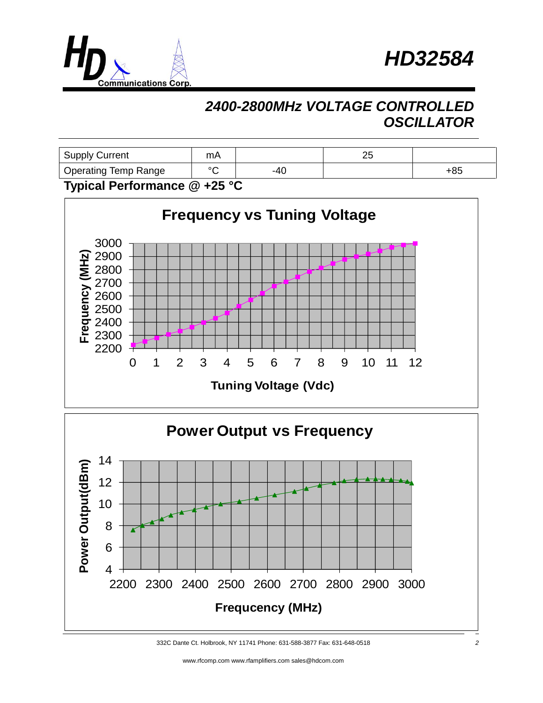



# *2400-2800MHz VOLTAGE CONTROLLED OSCILLATOR*

| <b>Operating Temp Range</b> | $\sim$ | -40 |     | +85 |
|-----------------------------|--------|-----|-----|-----|
| <b>Supply Current</b>       | mA     |     | ົາເ |     |

#### **Typical Performance @ +25 °C**



<sup>332</sup>C Dante Ct. Holbrook, NY 11741 Phone: 631-588-3877 Fax: 631-648-0518